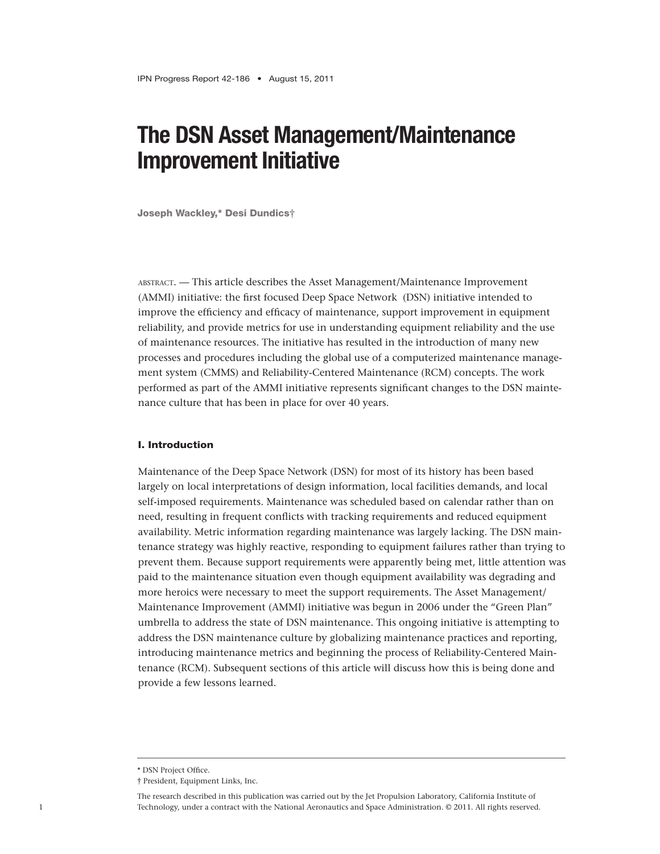# **The DSN Asset Management/Maintenance Improvement Initiative**

Joseph Wackley,\* Desi Dundics**†**

abstract. — This article describes the Asset Management/Maintenance Improvement (AMMI) initiative: the first focused Deep Space Network (DSN) initiative intended to improve the efficiency and efficacy of maintenance, support improvement in equipment reliability, and provide metrics for use in understanding equipment reliability and the use of maintenance resources. The initiative has resulted in the introduction of many new processes and procedures including the global use of a computerized maintenance management system (CMMS) and Reliability-Centered Maintenance (RCM) concepts. The work performed as part of the AMMI initiative represents significant changes to the DSN maintenance culture that has been in place for over 40 years.

## I. Introduction

Maintenance of the Deep Space Network (DSN) for most of its history has been based largely on local interpretations of design information, local facilities demands, and local self-imposed requirements. Maintenance was scheduled based on calendar rather than on need, resulting in frequent conflicts with tracking requirements and reduced equipment availability. Metric information regarding maintenance was largely lacking. The DSN maintenance strategy was highly reactive, responding to equipment failures rather than trying to prevent them. Because support requirements were apparently being met, little attention was paid to the maintenance situation even though equipment availability was degrading and more heroics were necessary to meet the support requirements. The Asset Management/ Maintenance Improvement (AMMI) initiative was begun in 2006 under the "Green Plan" umbrella to address the state of DSN maintenance. This ongoing initiative is attempting to address the DSN maintenance culture by globalizing maintenance practices and reporting, introducing maintenance metrics and beginning the process of Reliability-Centered Maintenance (RCM). Subsequent sections of this article will discuss how this is being done and provide a few lessons learned.

<sup>\*</sup> DSN Project Office.

<sup>†</sup> President, Equipment Links, Inc.

The research described in this publication was carried out by the Jet Propulsion Laboratory, California Institute of Technology, under a contract with the National Aeronautics and Space Administration. © 2011. All rights reserved.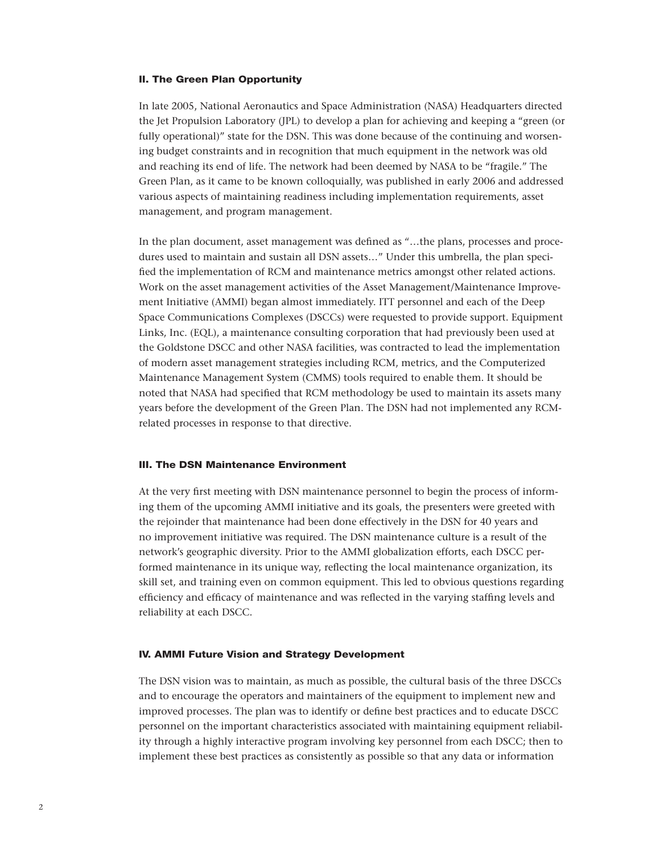#### II. The Green Plan Opportunity

In late 2005, National Aeronautics and Space Administration (NASA) Headquarters directed the Jet Propulsion Laboratory (JPL) to develop a plan for achieving and keeping a "green (or fully operational)" state for the DSN. This was done because of the continuing and worsening budget constraints and in recognition that much equipment in the network was old and reaching its end of life. The network had been deemed by NASA to be "fragile." The Green Plan, as it came to be known colloquially, was published in early 2006 and addressed various aspects of maintaining readiness including implementation requirements, asset management, and program management.

In the plan document, asset management was defined as "…the plans, processes and procedures used to maintain and sustain all DSN assets…" Under this umbrella, the plan specified the implementation of RCM and maintenance metrics amongst other related actions. Work on the asset management activities of the Asset Management/Maintenance Improvement Initiative (AMMI) began almost immediately. ITT personnel and each of the Deep Space Communications Complexes (DSCCs) were requested to provide support. Equipment Links, Inc. (EQL), a maintenance consulting corporation that had previously been used at the Goldstone DSCC and other NASA facilities, was contracted to lead the implementation of modern asset management strategies including RCM, metrics, and the Computerized Maintenance Management System (CMMS) tools required to enable them. It should be noted that NASA had specified that RCM methodology be used to maintain its assets many years before the development of the Green Plan. The DSN had not implemented any RCMrelated processes in response to that directive.

## III. The DSN Maintenance Environment

At the very first meeting with DSN maintenance personnel to begin the process of informing them of the upcoming AMMI initiative and its goals, the presenters were greeted with the rejoinder that maintenance had been done effectively in the DSN for 40 years and no improvement initiative was required. The DSN maintenance culture is a result of the network's geographic diversity. Prior to the AMMI globalization efforts, each DSCC performed maintenance in its unique way, reflecting the local maintenance organization, its skill set, and training even on common equipment. This led to obvious questions regarding efficiency and efficacy of maintenance and was reflected in the varying staffing levels and reliability at each DSCC.

#### IV. AMMI Future Vision and Strategy Development

The DSN vision was to maintain, as much as possible, the cultural basis of the three DSCCs and to encourage the operators and maintainers of the equipment to implement new and improved processes. The plan was to identify or define best practices and to educate DSCC personnel on the important characteristics associated with maintaining equipment reliability through a highly interactive program involving key personnel from each DSCC; then to implement these best practices as consistently as possible so that any data or information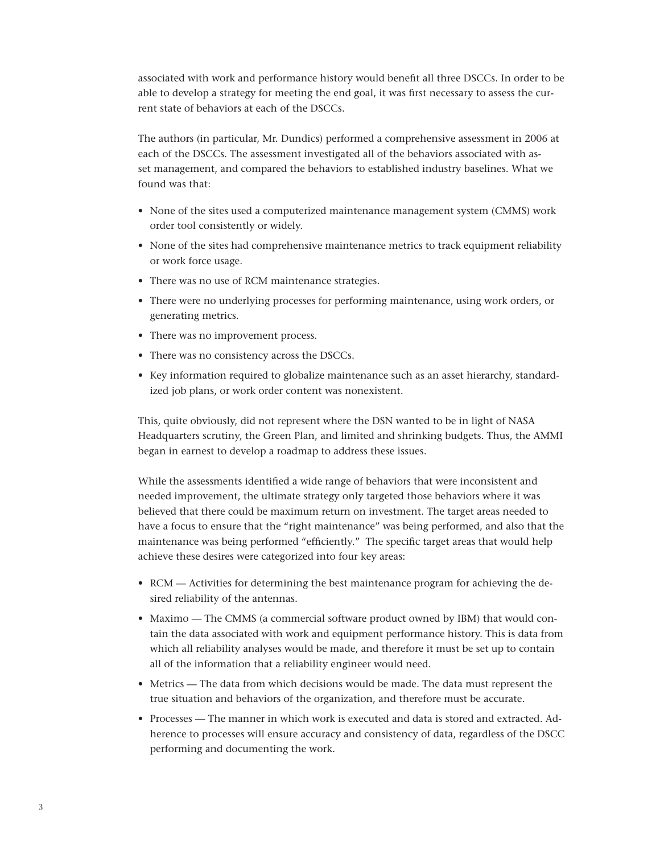associated with work and performance history would benefit all three DSCCs. In order to be able to develop a strategy for meeting the end goal, it was first necessary to assess the current state of behaviors at each of the DSCCs.

The authors (in particular, Mr. Dundics) performed a comprehensive assessment in 2006 at each of the DSCCs. The assessment investigated all of the behaviors associated with asset management, and compared the behaviors to established industry baselines. What we found was that:

- None of the sites used a computerized maintenance management system (CMMS) work order tool consistently or widely.
- None of the sites had comprehensive maintenance metrics to track equipment reliability or work force usage.
- There was no use of RCM maintenance strategies.
- There were no underlying processes for performing maintenance, using work orders, or generating metrics.
- There was no improvement process.
- There was no consistency across the DSCCs.
- • Key information required to globalize maintenance such as an asset hierarchy, standardized job plans, or work order content was nonexistent.

This, quite obviously, did not represent where the DSN wanted to be in light of NASA Headquarters scrutiny, the Green Plan, and limited and shrinking budgets. Thus, the AMMI began in earnest to develop a roadmap to address these issues.

While the assessments identified a wide range of behaviors that were inconsistent and needed improvement, the ultimate strategy only targeted those behaviors where it was believed that there could be maximum return on investment. The target areas needed to have a focus to ensure that the "right maintenance" was being performed, and also that the maintenance was being performed "efficiently." The specific target areas that would help achieve these desires were categorized into four key areas:

- RCM Activities for determining the best maintenance program for achieving the desired reliability of the antennas.
- Maximo The CMMS (a commercial software product owned by IBM) that would contain the data associated with work and equipment performance history. This is data from which all reliability analyses would be made, and therefore it must be set up to contain all of the information that a reliability engineer would need.
- Metrics The data from which decisions would be made. The data must represent the true situation and behaviors of the organization, and therefore must be accurate.
- Processes The manner in which work is executed and data is stored and extracted. Adherence to processes will ensure accuracy and consistency of data, regardless of the DSCC performing and documenting the work.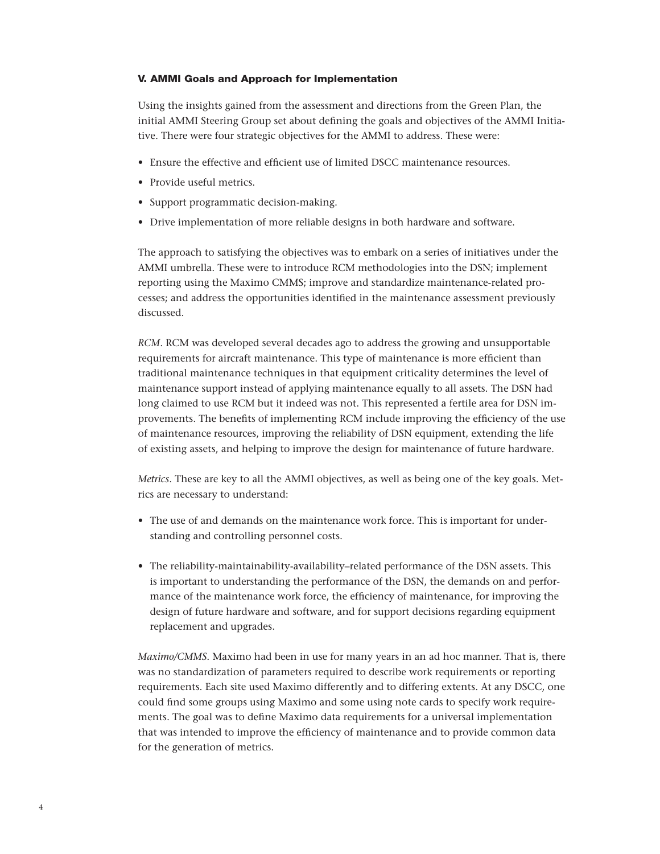## V. AMMI Goals and Approach for Implementation

Using the insights gained from the assessment and directions from the Green Plan, the initial AMMI Steering Group set about defining the goals and objectives of the AMMI Initiative. There were four strategic objectives for the AMMI to address. These were:

- Ensure the effective and efficient use of limited DSCC maintenance resources.
- Provide useful metrics.
- • Support programmatic decision-making.
- • Drive implementation of more reliable designs in both hardware and software.

The approach to satisfying the objectives was to embark on a series of initiatives under the AMMI umbrella. These were to introduce RCM methodologies into the DSN; implement reporting using the Maximo CMMS; improve and standardize maintenance-related processes; and address the opportunities identified in the maintenance assessment previously discussed.

*RCM*. RCM was developed several decades ago to address the growing and unsupportable requirements for aircraft maintenance. This type of maintenance is more efficient than traditional maintenance techniques in that equipment criticality determines the level of maintenance support instead of applying maintenance equally to all assets. The DSN had long claimed to use RCM but it indeed was not. This represented a fertile area for DSN improvements. The benefits of implementing RCM include improving the efficiency of the use of maintenance resources, improving the reliability of DSN equipment, extending the life of existing assets, and helping to improve the design for maintenance of future hardware.

*Metrics*. These are key to all the AMMI objectives, as well as being one of the key goals. Metrics are necessary to understand:

- The use of and demands on the maintenance work force. This is important for understanding and controlling personnel costs.
- • The reliability-maintainability-availability–related performance of the DSN assets. This is important to understanding the performance of the DSN, the demands on and performance of the maintenance work force, the efficiency of maintenance, for improving the design of future hardware and software, and for support decisions regarding equipment replacement and upgrades.

*Maximo/CMMS*. Maximo had been in use for many years in an ad hoc manner. That is, there was no standardization of parameters required to describe work requirements or reporting requirements. Each site used Maximo differently and to differing extents. At any DSCC, one could find some groups using Maximo and some using note cards to specify work requirements. The goal was to define Maximo data requirements for a universal implementation that was intended to improve the efficiency of maintenance and to provide common data for the generation of metrics.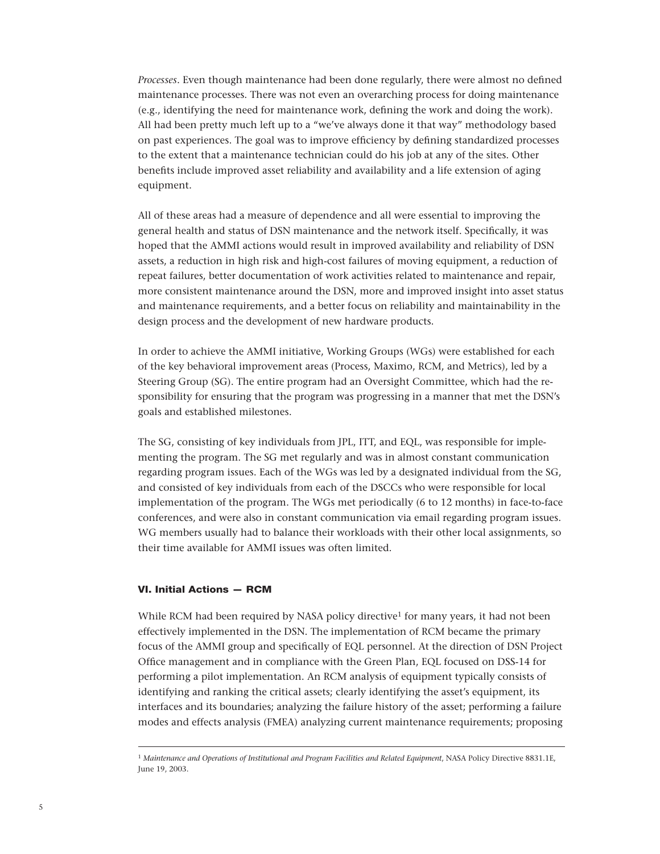*Processes*. Even though maintenance had been done regularly, there were almost no defined maintenance processes. There was not even an overarching process for doing maintenance (e.g., identifying the need for maintenance work, defining the work and doing the work). All had been pretty much left up to a "we've always done it that way" methodology based on past experiences. The goal was to improve efficiency by defining standardized processes to the extent that a maintenance technician could do his job at any of the sites. Other benefits include improved asset reliability and availability and a life extension of aging equipment.

All of these areas had a measure of dependence and all were essential to improving the general health and status of DSN maintenance and the network itself. Specifically, it was hoped that the AMMI actions would result in improved availability and reliability of DSN assets, a reduction in high risk and high-cost failures of moving equipment, a reduction of repeat failures, better documentation of work activities related to maintenance and repair, more consistent maintenance around the DSN, more and improved insight into asset status and maintenance requirements, and a better focus on reliability and maintainability in the design process and the development of new hardware products.

In order to achieve the AMMI initiative, Working Groups (WGs) were established for each of the key behavioral improvement areas (Process, Maximo, RCM, and Metrics), led by a Steering Group (SG). The entire program had an Oversight Committee, which had the responsibility for ensuring that the program was progressing in a manner that met the DSN's goals and established milestones.

The SG, consisting of key individuals from JPL, ITT, and EQL, was responsible for implementing the program. The SG met regularly and was in almost constant communication regarding program issues. Each of the WGs was led by a designated individual from the SG, and consisted of key individuals from each of the DSCCs who were responsible for local implementation of the program. The WGs met periodically (6 to 12 months) in face-to-face conferences, and were also in constant communication via email regarding program issues. WG members usually had to balance their workloads with their other local assignments, so their time available for AMMI issues was often limited.

#### VI. Initial Actions — RCM

While RCM had been required by NASA policy directive $1$  for many years, it had not been effectively implemented in the DSN. The implementation of RCM became the primary focus of the AMMI group and specifically of EQL personnel. At the direction of DSN Project Office management and in compliance with the Green Plan, EQL focused on DSS-14 for performing a pilot implementation. An RCM analysis of equipment typically consists of identifying and ranking the critical assets; clearly identifying the asset's equipment, its interfaces and its boundaries; analyzing the failure history of the asset; performing a failure modes and effects analysis (FMEA) analyzing current maintenance requirements; proposing

<sup>1</sup> *Maintenance and Operations of Institutional and Program Facilities and Related Equipment*, NASA Policy Directive 8831.1E, June 19, 2003.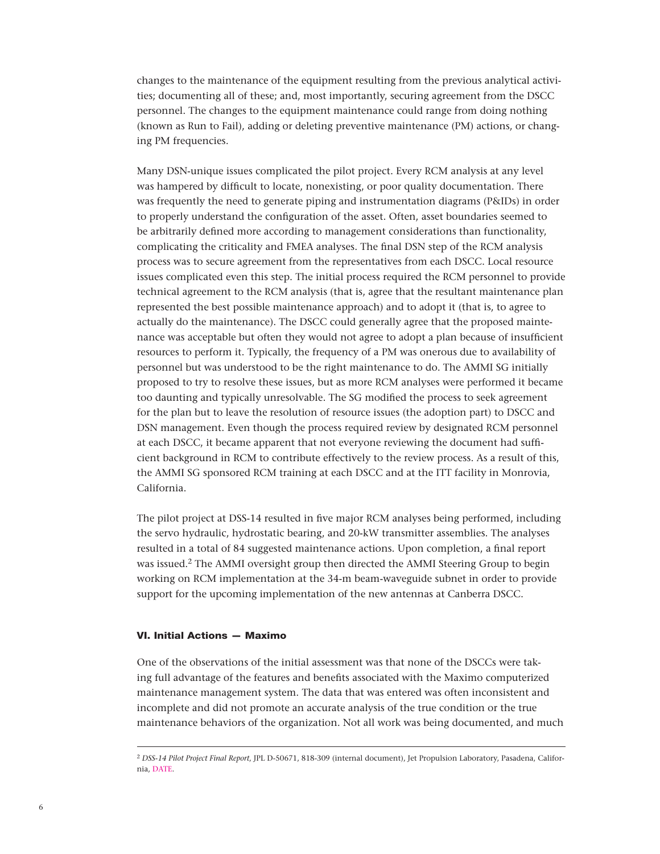changes to the maintenance of the equipment resulting from the previous analytical activities; documenting all of these; and, most importantly, securing agreement from the DSCC personnel. The changes to the equipment maintenance could range from doing nothing (known as Run to Fail), adding or deleting preventive maintenance (PM) actions, or changing PM frequencies.

Many DSN-unique issues complicated the pilot project. Every RCM analysis at any level was hampered by difficult to locate, nonexisting, or poor quality documentation. There was frequently the need to generate piping and instrumentation diagrams (P&IDs) in order to properly understand the configuration of the asset. Often, asset boundaries seemed to be arbitrarily defined more according to management considerations than functionality, complicating the criticality and FMEA analyses. The final DSN step of the RCM analysis process was to secure agreement from the representatives from each DSCC. Local resource issues complicated even this step. The initial process required the RCM personnel to provide technical agreement to the RCM analysis (that is, agree that the resultant maintenance plan represented the best possible maintenance approach) and to adopt it (that is, to agree to actually do the maintenance). The DSCC could generally agree that the proposed maintenance was acceptable but often they would not agree to adopt a plan because of insufficient resources to perform it. Typically, the frequency of a PM was onerous due to availability of personnel but was understood to be the right maintenance to do. The AMMI SG initially proposed to try to resolve these issues, but as more RCM analyses were performed it became too daunting and typically unresolvable. The SG modified the process to seek agreement for the plan but to leave the resolution of resource issues (the adoption part) to DSCC and DSN management. Even though the process required review by designated RCM personnel at each DSCC, it became apparent that not everyone reviewing the document had sufficient background in RCM to contribute effectively to the review process. As a result of this, the AMMI SG sponsored RCM training at each DSCC and at the ITT facility in Monrovia, California.

The pilot project at DSS-14 resulted in five major RCM analyses being performed, including the servo hydraulic, hydrostatic bearing, and 20-kW transmitter assemblies. The analyses resulted in a total of 84 suggested maintenance actions. Upon completion, a final report was issued.2 The AMMI oversight group then directed the AMMI Steering Group to begin working on RCM implementation at the 34-m beam-waveguide subnet in order to provide support for the upcoming implementation of the new antennas at Canberra DSCC.

## VI. Initial Actions — Maximo

One of the observations of the initial assessment was that none of the DSCCs were taking full advantage of the features and benefits associated with the Maximo computerized maintenance management system. The data that was entered was often inconsistent and incomplete and did not promote an accurate analysis of the true condition or the true maintenance behaviors of the organization. Not all work was being documented, and much

<sup>2</sup> *DSS-14 Pilot Project Final Report*, JPL D-50671, 818-309 (internal document), Jet Propulsion Laboratory, Pasadena, California, DATE.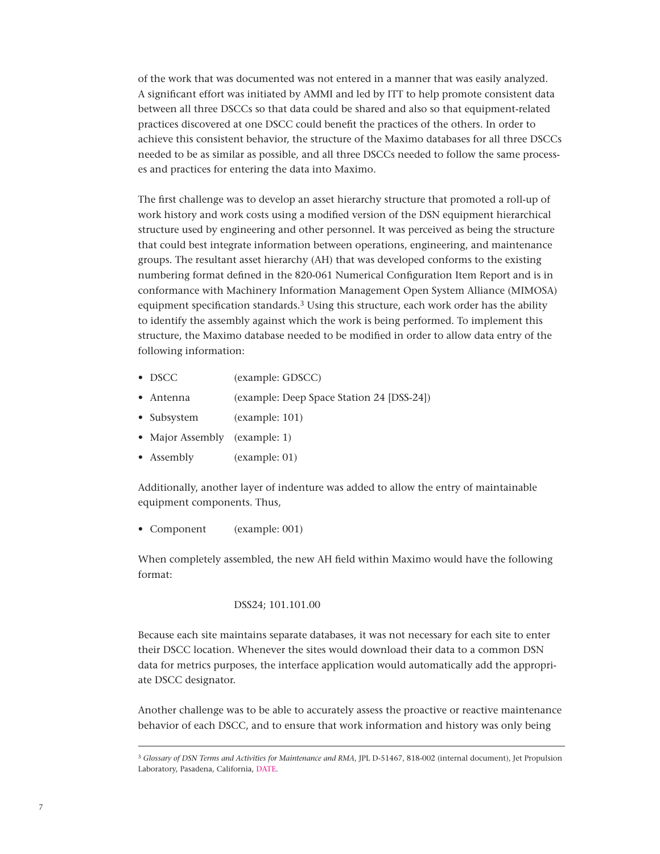of the work that was documented was not entered in a manner that was easily analyzed. A significant effort was initiated by AMMI and led by ITT to help promote consistent data between all three DSCCs so that data could be shared and also so that equipment-related practices discovered at one DSCC could benefit the practices of the others. In order to achieve this consistent behavior, the structure of the Maximo databases for all three DSCCs needed to be as similar as possible, and all three DSCCs needed to follow the same processes and practices for entering the data into Maximo.

The first challenge was to develop an asset hierarchy structure that promoted a roll-up of work history and work costs using a modified version of the DSN equipment hierarchical structure used by engineering and other personnel. It was perceived as being the structure that could best integrate information between operations, engineering, and maintenance groups. The resultant asset hierarchy (AH) that was developed conforms to the existing numbering format defined in the 820-061 Numerical Configuration Item Report and is in conformance with Machinery Information Management Open System Alliance (MIMOSA) equipment specification standards.<sup>3</sup> Using this structure, each work order has the ability to identify the assembly against which the work is being performed. To implement this structure, the Maximo database needed to be modified in order to allow data entry of the following information:

- DSCC (example: GDSCC)
- Antenna (example: Deep Space Station 24 [DSS-24])
- Subsystem (example: 101)
- Major Assembly (example: 1)
- Assembly (example: 01)

Additionally, another layer of indenture was added to allow the entry of maintainable equipment components. Thus,

• Component (example: 001)

When completely assembled, the new AH field within Maximo would have the following format:

# DSS24; 101.101.00

Because each site maintains separate databases, it was not necessary for each site to enter their DSCC location. Whenever the sites would download their data to a common DSN data for metrics purposes, the interface application would automatically add the appropriate DSCC designator.

Another challenge was to be able to accurately assess the proactive or reactive maintenance behavior of each DSCC, and to ensure that work information and history was only being

<sup>3</sup> *Glossary of DSN Terms and Activities for Maintenance and RMA*, JPL D-51467, 818-002 (internal document), Jet Propulsion Laboratory, Pasadena, California, DATE.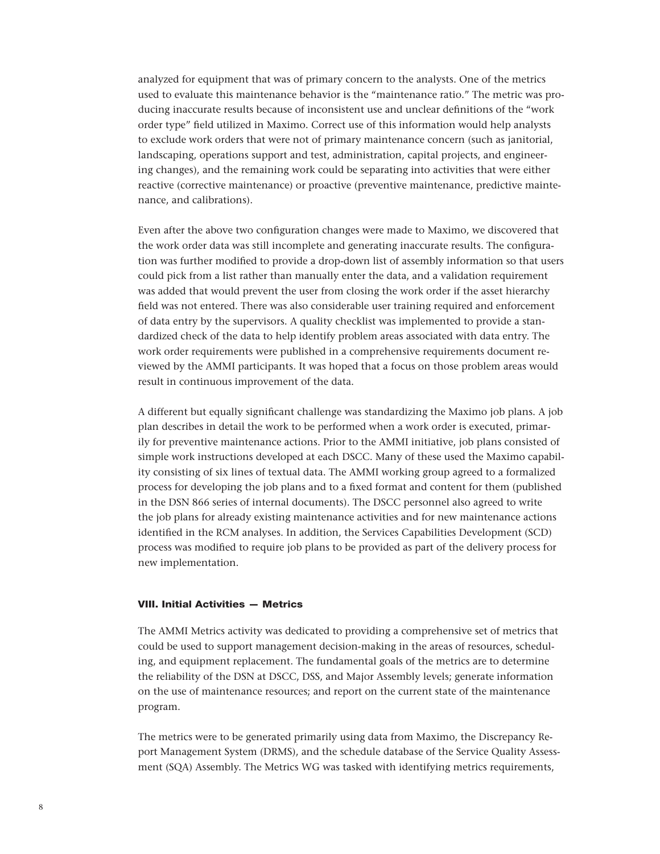analyzed for equipment that was of primary concern to the analysts. One of the metrics used to evaluate this maintenance behavior is the "maintenance ratio." The metric was producing inaccurate results because of inconsistent use and unclear definitions of the "work order type" field utilized in Maximo. Correct use of this information would help analysts to exclude work orders that were not of primary maintenance concern (such as janitorial, landscaping, operations support and test, administration, capital projects, and engineering changes), and the remaining work could be separating into activities that were either reactive (corrective maintenance) or proactive (preventive maintenance, predictive maintenance, and calibrations).

Even after the above two configuration changes were made to Maximo, we discovered that the work order data was still incomplete and generating inaccurate results. The configuration was further modified to provide a drop-down list of assembly information so that users could pick from a list rather than manually enter the data, and a validation requirement was added that would prevent the user from closing the work order if the asset hierarchy field was not entered. There was also considerable user training required and enforcement of data entry by the supervisors. A quality checklist was implemented to provide a standardized check of the data to help identify problem areas associated with data entry. The work order requirements were published in a comprehensive requirements document reviewed by the AMMI participants. It was hoped that a focus on those problem areas would result in continuous improvement of the data.

A different but equally significant challenge was standardizing the Maximo job plans. A job plan describes in detail the work to be performed when a work order is executed, primarily for preventive maintenance actions. Prior to the AMMI initiative, job plans consisted of simple work instructions developed at each DSCC. Many of these used the Maximo capability consisting of six lines of textual data. The AMMI working group agreed to a formalized process for developing the job plans and to a fixed format and content for them (published in the DSN 866 series of internal documents). The DSCC personnel also agreed to write the job plans for already existing maintenance activities and for new maintenance actions identified in the RCM analyses. In addition, the Services Capabilities Development (SCD) process was modified to require job plans to be provided as part of the delivery process for new implementation.

# VIII. Initial Activities — Metrics

The AMMI Metrics activity was dedicated to providing a comprehensive set of metrics that could be used to support management decision-making in the areas of resources, scheduling, and equipment replacement. The fundamental goals of the metrics are to determine the reliability of the DSN at DSCC, DSS, and Major Assembly levels; generate information on the use of maintenance resources; and report on the current state of the maintenance program.

The metrics were to be generated primarily using data from Maximo, the Discrepancy Report Management System (DRMS), and the schedule database of the Service Quality Assessment (SQA) Assembly. The Metrics WG was tasked with identifying metrics requirements,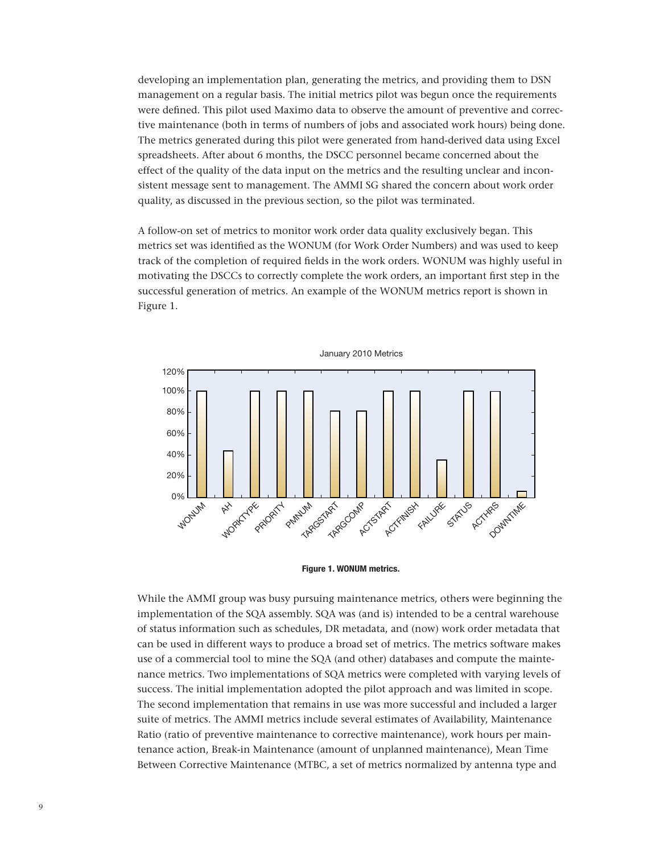developing an implementation plan, generating the metrics, and providing them to DSN management on a regular basis. The initial metrics pilot was begun once the requirements were defined. This pilot used Maximo data to observe the amount of preventive and corrective maintenance (both in terms of numbers of jobs and associated work hours) being done. The metrics generated during this pilot were generated from hand-derived data using Excel spreadsheets. After about 6 months, the DSCC personnel became concerned about the effect of the quality of the data input on the metrics and the resulting unclear and inconsistent message sent to management. The AMMI SG shared the concern about work order quality, as discussed in the previous section, so the pilot was terminated.

A follow-on set of metrics to monitor work order data quality exclusively began. This metrics set was identified as the WONUM (for Work Order Numbers) and was used to keep track of the completion of required fields in the work orders. WONUM was highly useful in motivating the DSCCs to correctly complete the work orders, an important first step in the successful generation of metrics. An example of the WONUM metrics report is shown in Figure 1.





While the AMMI group was busy pursuing maintenance metrics, others were beginning the implementation of the SQA assembly. SQA was (and is) intended to be a central warehouse of status information such as schedules, DR metadata, and (now) work order metadata that can be used in different ways to produce a broad set of metrics. The metrics software makes use of a commercial tool to mine the SQA (and other) databases and compute the maintenance metrics. Two implementations of SQA metrics were completed with varying levels of success. The initial implementation adopted the pilot approach and was limited in scope. The second implementation that remains in use was more successful and included a larger suite of metrics. The AMMI metrics include several estimates of Availability, Maintenance Ratio (ratio of preventive maintenance to corrective maintenance), work hours per maintenance action, Break-in Maintenance (amount of unplanned maintenance), Mean Time Between Corrective Maintenance (MTBC, a set of metrics normalized by antenna type and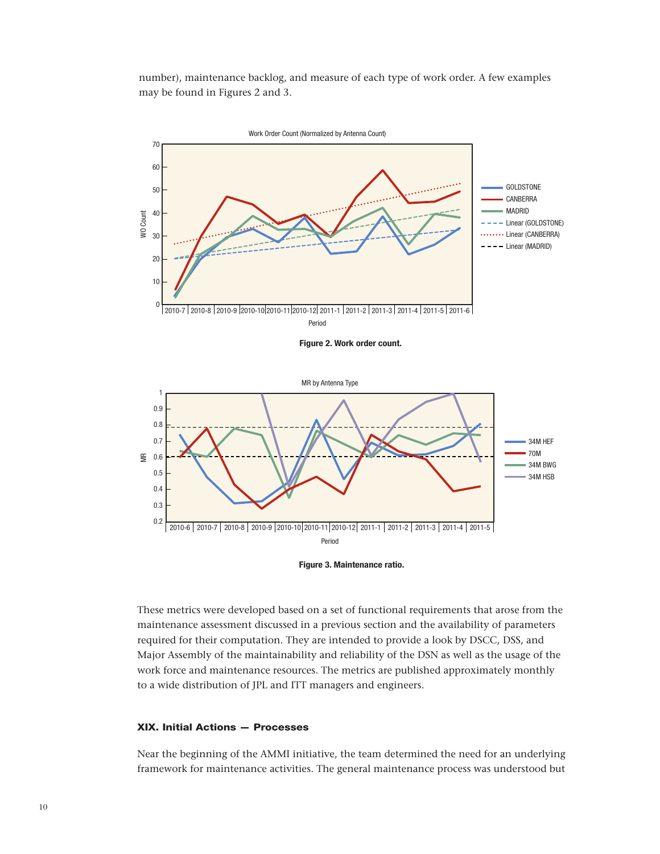number), maintenance backlog, and measure of each type of work order. A few examples may be found in Figures 2 and 3.



**Figure 2. Work order count.**





These metrics were developed based on a set of functional requirements that arose from the maintenance assessment discussed in a previous section and the availability of parameters required for their computation. They are intended to provide a look by DSCC, DSS, and Major Assembly of the maintainability and reliability of the DSN as well as the usage of the work force and maintenance resources. The metrics are published approximately monthly to a wide distribution of JPL and ITT managers and engineers.

# XIX. Initial Actions — Processes

Near the beginning of the AMMI initiative, the team determined the need for an underlying framework for maintenance activities. The general maintenance process was understood but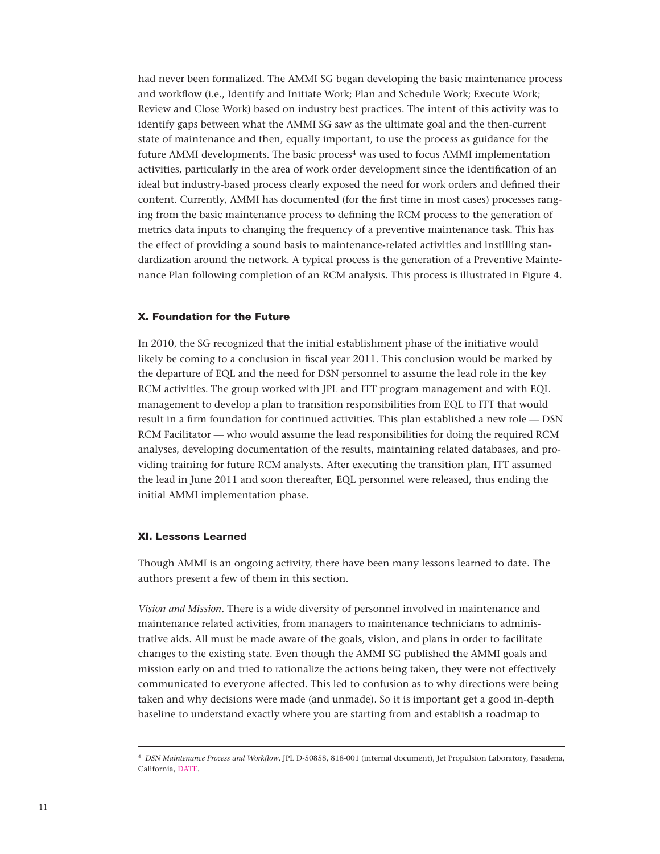had never been formalized. The AMMI SG began developing the basic maintenance process and workflow (i.e., Identify and Initiate Work; Plan and Schedule Work; Execute Work; Review and Close Work) based on industry best practices. The intent of this activity was to identify gaps between what the AMMI SG saw as the ultimate goal and the then-current state of maintenance and then, equally important, to use the process as guidance for the future AMMI developments. The basic process<sup>4</sup> was used to focus AMMI implementation activities, particularly in the area of work order development since the identification of an ideal but industry-based process clearly exposed the need for work orders and defined their content. Currently, AMMI has documented (for the first time in most cases) processes ranging from the basic maintenance process to defining the RCM process to the generation of metrics data inputs to changing the frequency of a preventive maintenance task. This has the effect of providing a sound basis to maintenance-related activities and instilling standardization around the network. A typical process is the generation of a Preventive Maintenance Plan following completion of an RCM analysis. This process is illustrated in Figure 4.

#### X. Foundation for the Future

In 2010, the SG recognized that the initial establishment phase of the initiative would likely be coming to a conclusion in fiscal year 2011. This conclusion would be marked by the departure of EQL and the need for DSN personnel to assume the lead role in the key RCM activities. The group worked with JPL and ITT program management and with EQL management to develop a plan to transition responsibilities from EQL to ITT that would result in a firm foundation for continued activities. This plan established a new role — DSN RCM Facilitator — who would assume the lead responsibilities for doing the required RCM analyses, developing documentation of the results, maintaining related databases, and providing training for future RCM analysts. After executing the transition plan, ITT assumed the lead in June 2011 and soon thereafter, EQL personnel were released, thus ending the initial AMMI implementation phase.

#### XI. Lessons Learned

Though AMMI is an ongoing activity, there have been many lessons learned to date. The authors present a few of them in this section.

*Vision and Mission*. There is a wide diversity of personnel involved in maintenance and maintenance related activities, from managers to maintenance technicians to administrative aids. All must be made aware of the goals, vision, and plans in order to facilitate changes to the existing state. Even though the AMMI SG published the AMMI goals and mission early on and tried to rationalize the actions being taken, they were not effectively communicated to everyone affected. This led to confusion as to why directions were being taken and why decisions were made (and unmade). So it is important get a good in-depth baseline to understand exactly where you are starting from and establish a roadmap to

<sup>4</sup> *DSN Maintenance Process and Workflow*, JPL D-50858, 818-001 (internal document), Jet Propulsion Laboratory, Pasadena, California, DATE.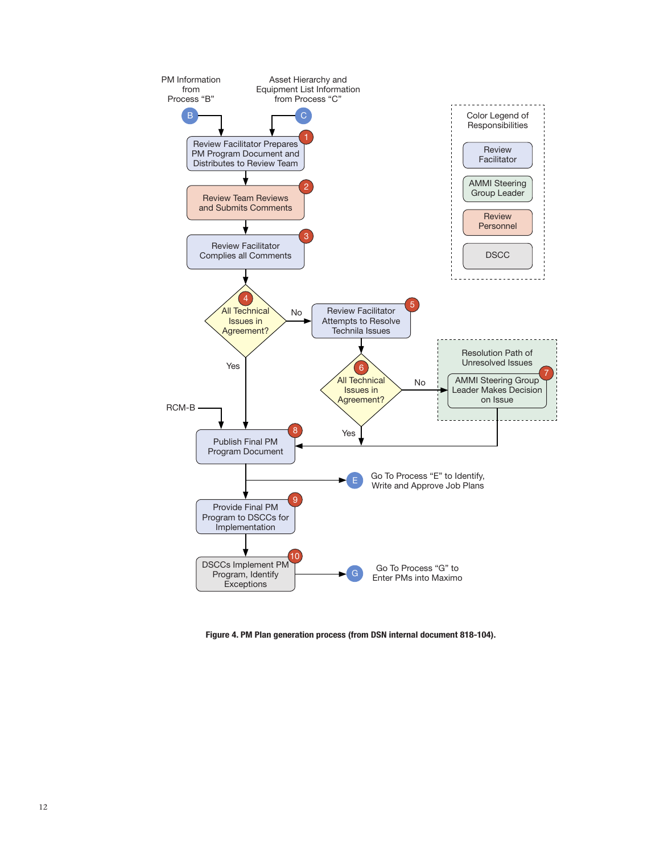

**Figure 4. PM Plan generation process (from DSN internal document 818-104).**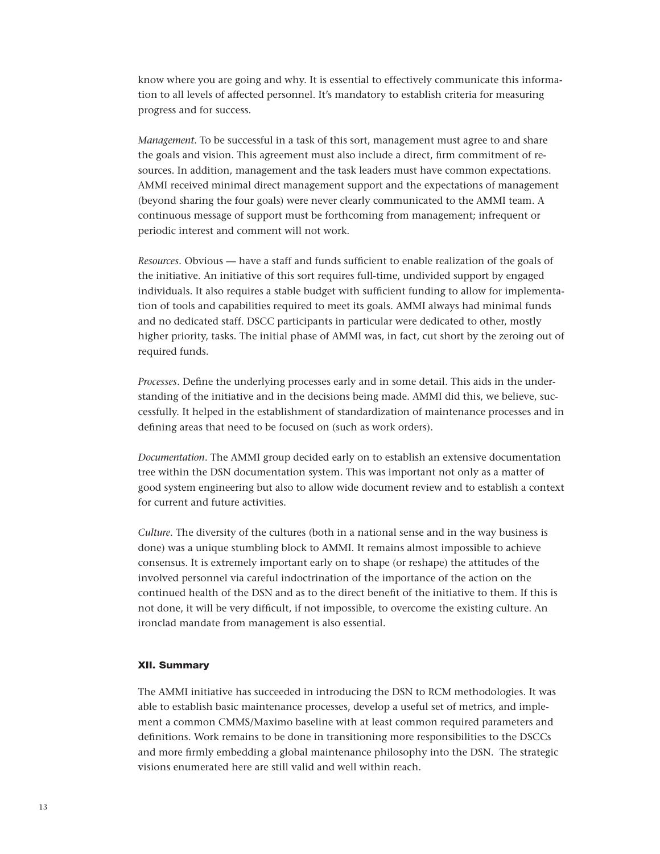know where you are going and why. It is essential to effectively communicate this information to all levels of affected personnel. It's mandatory to establish criteria for measuring progress and for success.

*Management*. To be successful in a task of this sort, management must agree to and share the goals and vision. This agreement must also include a direct, firm commitment of resources. In addition, management and the task leaders must have common expectations. AMMI received minimal direct management support and the expectations of management (beyond sharing the four goals) were never clearly communicated to the AMMI team. A continuous message of support must be forthcoming from management; infrequent or periodic interest and comment will not work.

*Resources*. Obvious — have a staff and funds sufficient to enable realization of the goals of the initiative. An initiative of this sort requires full-time, undivided support by engaged individuals. It also requires a stable budget with sufficient funding to allow for implementation of tools and capabilities required to meet its goals. AMMI always had minimal funds and no dedicated staff. DSCC participants in particular were dedicated to other, mostly higher priority, tasks. The initial phase of AMMI was, in fact, cut short by the zeroing out of required funds.

*Processes*. Define the underlying processes early and in some detail. This aids in the understanding of the initiative and in the decisions being made. AMMI did this, we believe, successfully. It helped in the establishment of standardization of maintenance processes and in defining areas that need to be focused on (such as work orders).

*Documentation*. The AMMI group decided early on to establish an extensive documentation tree within the DSN documentation system. This was important not only as a matter of good system engineering but also to allow wide document review and to establish a context for current and future activities.

*Culture*. The diversity of the cultures (both in a national sense and in the way business is done) was a unique stumbling block to AMMI. It remains almost impossible to achieve consensus. It is extremely important early on to shape (or reshape) the attitudes of the involved personnel via careful indoctrination of the importance of the action on the continued health of the DSN and as to the direct benefit of the initiative to them. If this is not done, it will be very difficult, if not impossible, to overcome the existing culture. An ironclad mandate from management is also essential.

## XII. Summary

The AMMI initiative has succeeded in introducing the DSN to RCM methodologies. It was able to establish basic maintenance processes, develop a useful set of metrics, and implement a common CMMS/Maximo baseline with at least common required parameters and definitions. Work remains to be done in transitioning more responsibilities to the DSCCs and more firmly embedding a global maintenance philosophy into the DSN. The strategic visions enumerated here are still valid and well within reach.